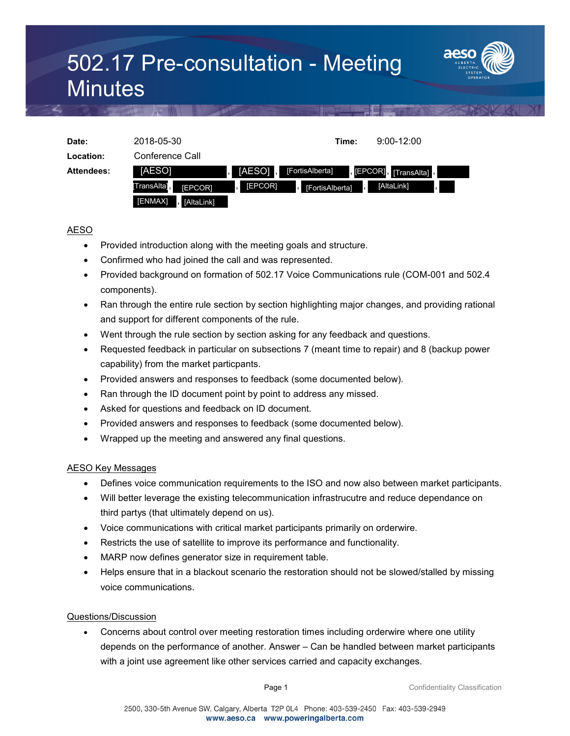## 502.17 Pre-consultation - Meeting **Minutes**



| Date:      | 2018-05-30                    |          | Time:           | $9:00-12:00$                     |
|------------|-------------------------------|----------|-----------------|----------------------------------|
| Location:  | Conference Call               |          |                 |                                  |
| Attendees: | [AESO]                        | [AESO] , | [FortisAlberta] | , [EPCOR], [TransAlta], <i>I</i> |
|            | [TransAlta]<br><b>IEPCORI</b> | [EPCOR]  | [FortisAlberta] | [AltaLink]                       |
|            | [ENMAX]<br>[AltaLink]         |          |                 |                                  |

## AESO

- Provided introduction along with the meeting goals and structure.
- Confirmed who had joined the call and was represented.
- Provided background on formation of 502.17 Voice Communications rule (COM-001 and 502.4 components).
- Ran through the entire rule section by section highlighting major changes, and providing rational and support for different components of the rule.
- Went through the rule section by section asking for any feedback and questions.
- Requested feedback in particular on subsections 7 (meant time to repair) and 8 (backup power capability) from the market particpants.
- Provided answers and responses to feedback (some documented below).
- Ran through the ID document point by point to address any missed.
- Asked for questions and feedback on ID document.
- Provided answers and responses to feedback (some documented below).
- Wrapped up the meeting and answered any final questions.

## AESO Key Messages

- Defines voice communication requirements to the ISO and now also between market participants.
- Will better leverage the existing telecommunication infrastrucutre and reduce dependance on third partys (that ultimately depend on us).
- Voice communications with critical market participants primarily on orderwire.
- Restricts the use of satellite to improve its performance and functionality.
- MARP now defines generator size in requirement table.
- Helps ensure that in a blackout scenario the restoration should not be slowed/stalled by missing voice communications.

## Questions/Discussion

• Concerns about control over meeting restoration times including orderwire where one utility depends on the performance of another. Answer – Can be handled between market participants with a joint use agreement like other services carried and capacity exchanges.